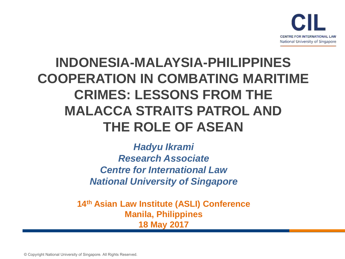

### **INDONESIA-MALAYSIA-PHILIPPINES COOPERATION IN COMBATING MARITIME CRIMES: LESSONS FROM THE MALACCA STRAITS PATROL AND THE ROLE OF ASEAN**

*Hadyu Ikrami Research Associate Centre for International Law National University of Singapore*

**14th Asian Law Institute (ASLI) Conference Manila, Philippines 18 May 2017**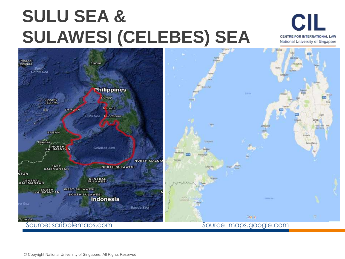# **SULU SEA & SULAWESI (CELEBES) SEA**

**CIL** CENTRE FOR INTERNATIONAL LAW National University of Singapore

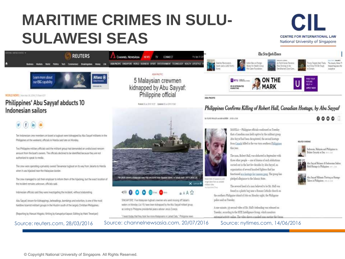### **MARITIME CRIMES IN SULU-SULAWESI SEAS**





WORLD NEWS | How traces, 2010 | TERGELERY

#### Philippines' Abu Sayyaf abducts 10 Indonesian sailors



Ten Indonesian crew members on board a tugboot were kidnapped by Abu Sayyaf militarits in the Philippines at the weekend, officials in Manila said late on Monday.

Two Philippine military officials said the militant group had demanded an undisclosed ransom amount from the boat's owners. The officials declined to be identified because they are not authorized to speak to media.

The crew were operating a privately owned Taiwanese tugboat on its way from Jakarta to Manila when it was hijacked near the Malaysian border.

The crew managed to call their employer to inform them of the hijacking, but the exact location of the incident remains unknown, officials said.

Indonesian officials said they were investigating the incident, without elaborating.

Abu Sayyat, known for kidnappings, beheadings, bombings and extortion, is one of the most hardline Islamist militant proups in the Muslim south of the largely Christian Philippines.

(Reporting by Manuel Mogato; Writing by Kanupriya Kapoor; Editing by Mark Trevelyan)

kidnapped by Abu Sayyaf: Philippine official

Form # 2014 2019 10:37 | Modern # 25 24 2019 10:42



SINGAPORE: Five Malaysian fugboat crewmen who went masing off Sabah's waters on Monday (Jul 18) have been kidnapped by the Abu Sayyaf militant group, according to Philippine presidential peace adviser Jeniss Dunga.

"I heard today that they took five more Malaysians in Latian Data," Philippine news

**GAAS** 

Source: reuters.com, 28/03/2016 Source: channelnewsasia.com, 20/07/2016 Source: nytimes.com, 14/06/2016



**U. North Korea Tirostone** 

#### Philippines Confirms Killing of Robert Hall, Canadian Hostage, by Abu Sayyaf

In FLEED WILLEY world's AUSTRY JUNE 1, 2010

MANILA - Philippine officials confirmed on Tuesday that a Canadian man held captive by the militant group Abu Sayyaf had been decapitated, the second hustage from Canada killed in the two-torn routhern Philippines this year.

The man, Robert Hall, was abdurted in September with tlaree other people - one of dopens of such abductions: carried out in the last few decades by Abu Sayvaf, an organization of several bundred fighters that has functioned as a hostage-for mason gaug. The group has pledged allegiance to file Islamic State.

The severed head of a man believed to be Mr. Hall tons found in a plastic bag near a Roman Catholic church on

the southern Philippine island of Jolo on Monday night, the Philippine police said on Tuesday.

A one-minute, 35-second video of Mr. Hall's beheading was released on Tuesday, according to the SITE Intelligence Group, which monitors extremist activity collor. The video shows a masked man outrine the Ox



Furno Targets Steel Trade. The Assets Maker T. ot China Vill file Touch

 $0000$ 

**Glass in Philippines** area in the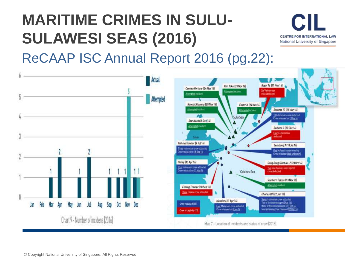### **MARITIME CRIMES IN SULU-SULAWESI SEAS (2016)**



ReCAAP ISC Annual Report 2016 (pg.22):



© Copyright National University of Singapore. All Rights Reserved.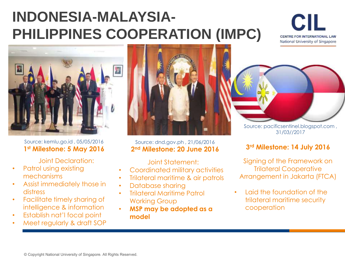### **INDONESIA-MALAYSIA-PHILIPPINES COOPERATION (IMPC)**





Source: kemlu.go.id , 05/05/2016 **1 st Milestone: 5 May 2016**

Joint Declaration:

- Patrol using existing mechanisms
- Assist immediately those in distress
- Facilitate timely sharing of intelligence & information
- Establish nat'l focal point
- Meet regularly & draft SOP



#### Source: dnd.gov.ph , 21/06/2016 **2 nd Milestone: 20 June 2016**

Joint Statement:

- Coordinated military activities
- Trilateral maritime & air patrols
- Database sharing
- Trilateral Maritime Patrol Working Group
- **MSP may be adopted as a model**



Source: pacificsentinel.blogspot.com , 31/03//2017

### **3 rd Milestone: 14 July 2016**

Signing of the Framework on Trilateral Cooperative Arrangement in Jakarta (FTCA)

• Laid the foundation of the trilateral maritime security cooperation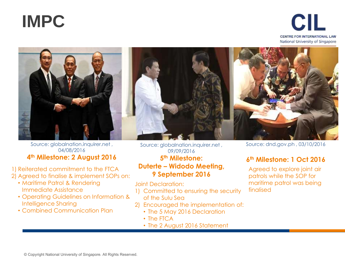





#### Source: globalnation.inquirer.net , 04/08/2016 **4 th Milestone: 2 August 2016**

- 1) Reiterated commitment to the FTCA 2) Agreed to finalise & implement SOPs on:
	- Maritime Patrol & Rendering Immediate Assistance
	- Operating Guidelines on Information & Intelligence Sharing
	- Combined Communication Plan

Source: globalnation.inquirer.net , 09/09/2016 **5 th Milestone: Duterte – Widodo Meeting, 9 September 2016**

Joint Declaration:

- 1) Committed to ensuring the security of the Sulu Sea
- 2) Encouraged the implementation of:
	- The 5 May 2016 Declaration
	- The FTCA
	- The 2 August 2016 Statement

Source: dnd.gov.ph , 03/10/2016

### **6 th Milestone: 1 Oct 2016**

Agreed to explore joint air patrols while the SOP for maritime patrol was being finalised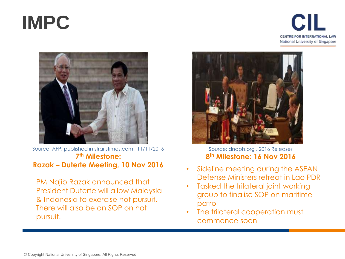# **IMPC**





Source: AFP, published in straitstimes.com , 11/11/2016 **7 th Milestone: Razak – Duterte Meeting, 10 Nov 2016**

PM Najib Razak announced that President Duterte will allow Malaysia & Indonesia to exercise hot pursuit. There will also be an SOP on hot pursuit.



Source: dndph.org , 2016 Releases **8 th Milestone: 16 Nov 2016**

- Sideline meeting during the ASEAN Defense Ministers retreat in Lao PDR
- Tasked the trilateral joint working group to finalise SOP on maritime patrol
- The trilateral cooperation must commence soon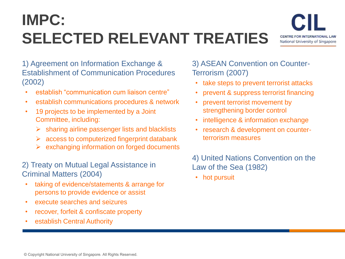### **IMPC: SELECTED RELEVANT TREATIES**



1) Agreement on Information Exchange & Establishment of Communication Procedures (2002)

- establish "communication cum liaison centre"
- establish communications procedures & network
- 19 projects to be implemented by a Joint Committee, including:
	- $\triangleright$  sharing airline passenger lists and blacklists
	- $\triangleright$  access to computerized fingerprint databank
	- exchanging information on forged documents

### 2) Treaty on Mutual Legal Assistance in Criminal Matters (2004)

- taking of evidence/statements & arrange for persons to provide evidence or assist
- execute searches and seizures
- recover, forfeit & confiscate property
- establish Central Authority

3) ASEAN Convention on Counter-Terrorism (2007)

- take steps to prevent terrorist attacks
- prevent & suppress terrorist financing
- prevent terrorist movement by strengthening border control
- intelligence & information exchange
- research & development on counterterrorism measures

4) United Nations Convention on the Law of the Sea (1982)

• hot pursuit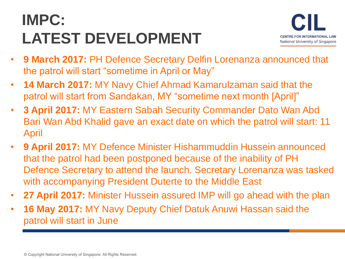### **IMPC: LATEST DEVELOPMENT**



- **9 March 2017:** PH Defence Secretary Delfin Lorenanza announced that the patrol will start "sometime in April or May"
- **14 March 2017:** MY Navy Chief Ahmad Kamarulzaman said that the patrol will start from Sandakan, MY "sometime next month [April]"
- **3 April 2017:** MY Eastern Sabah Security Commander Dato Wan Abd Bari Wan Abd Khalid gave an exact date on which the patrol will start: 11 April
- **9 April 2017:** MY Defence Minister Hishammuddin Hussein announced that the patrol had been postponed because of the inability of PH Defence Secretary to attend the launch. Secretary Lorenanza was tasked with accompanying President Duterte to the Middle East
- **27 April 2017:** Minister Hussein assured IMP will go ahead with the plan
- **16 May 2017:** MY Navy Deputy Chief Datuk Anuwi Hassan said the patrol will start in June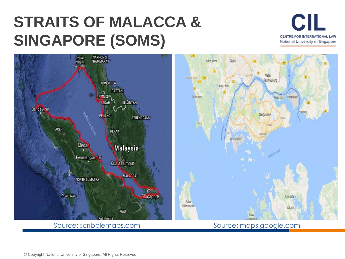### **STRAITS OF MALACCA & SINGAPORE (SOMS)**





Source: scribblemaps.com Source: maps.google.com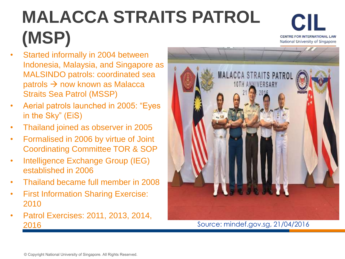# **MALACCA STRAITS PATROL (MSP)**

CII CENTRE FOR INTERNATIONAL LAW National University of Singapore

- Started informally in 2004 between Indonesia, Malaysia, and Singapore as MALSINDO patrols: coordinated sea patrols  $\rightarrow$  now known as Malacca Straits Sea Patrol (MSSP)
- Aerial patrols launched in 2005: "Eyes in the Sky" (EiS)
- Thailand joined as observer in 2005
- Formalised in 2006 by virtue of Joint Coordinating Committee TOR & SOP
- Intelligence Exchange Group (IEG) established in 2006
- Thailand became full member in 2008
- First Information Sharing Exercise: 2010
- Patrol Exercises: 2011, 2013, 2014, 2016 Source: mindef.gov.sg, 21/04/2016

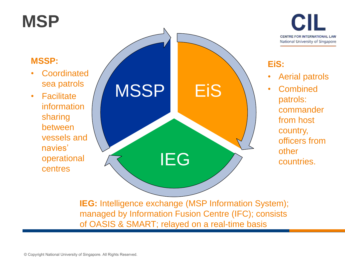### **MSP**



### EiS IEG **MSSP MSSP: Coordinated** sea patrols • Facilitate information sharing between vessels and navies' operational centres

### **EiS:**

- Aerial patrols
- Combined patrols: commander from host country, officers from other countries.

**IEG:** Intelligence exchange (MSP Information System); managed by Information Fusion Centre (IFC); consists of OASIS & SMART; relayed on a real-time basis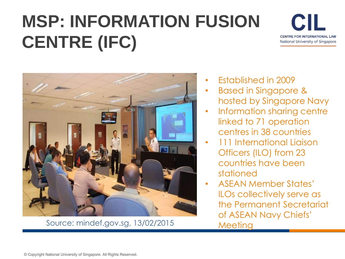# **MSP: INFORMATION FUSION CENTRE (IFC)**





Source: mindef.gov.sg, 13/02/2015

- Established in 2009
- Based in Singapore & hosted by Singapore Navy
- Information sharing centre linked to 71 operation centres in 38 countries
- 111 International Liaison Officers (ILO) from 23 countries have been stationed
- ASEAN Member States' ILOs collectively serve as the Permanent Secretariat of ASEAN Navy Chiefs' **Meeting**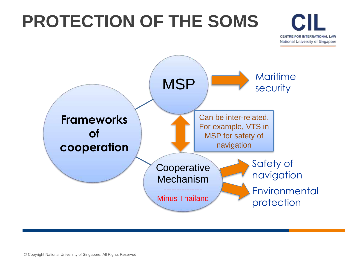## **PROTECTION OF THE SOMS**



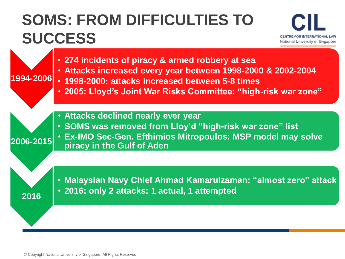### **SOMS: FROM DIFFICULTIES TO SUCCESS**



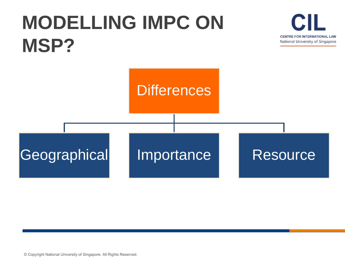# **MODELLING IMPC ON MSP?**





© Copyright National University of Singapore. All Rights Reserved.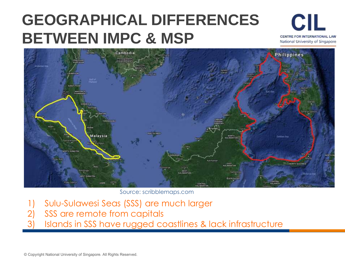### **GEOGRAPHICAL DIFFERENCES BETWEEN IMPC & MSP**





Source: scribblemaps.com

- 1) Sulu-Sulawesi Seas (SSS) are much larger
- 2) SSS are remote from capitals
- Islands in SSS have rugged coastlines & lack infrastructure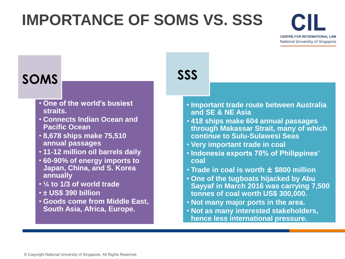### **IMPORTANCE OF SOMS VS. SSS**



### **SOMS SSS**

- **One of the world's busiest straits.**
- **Connects Indian Ocean and Pacific Ocean**
- **8,678 ships make 75,510 annual passages**
- **11-12 million oil barrels daily**
- **60-90% of energy imports to Japan, China, and S. Korea annually**
- **¼ to 1/3 of world trade**
- **± US\$ 390 billion**
- **Goods come from Middle East, South Asia, Africa, Europe.**

- **Important trade route between Australia and SE & NE Asia**
- **418 ships make 604 annual passages through Makassar Strait, many of which continue to Sulu-Sulawesi Seas**
- **Very important trade in coal**
- **Indonesia exports 70% of Philippines' coal**
- **Trade in coal is worth ± \$800 million**
- **One of the tugboats hijacked by Abu Sayyaf in March 2016 was carrying 7,500 tonnes of coal worth US\$ 300,000.**
- **Not many major ports in the area.**
- **Not as many interested stakeholders, hence less international pressure.**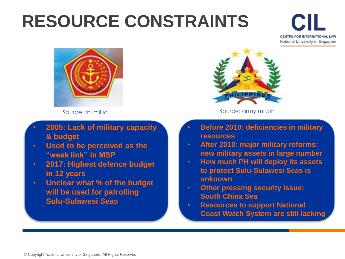## **RESOURCE CONSTRAINTS**

CII CENTRE FOR INTERNATIONAL LAW National University of Singapore



Source: tni.mil.id

- Source: army.mil.ph
	-

- **2005: Lack of military capacity & budget**
- **Used to be perceived as the "weak link" in MSP**
- **2017: Highest defence budget in 12 years**
- **Unclear what % of the budget will be used for patrolling Sulu-Sulawesi Seas**
- **Before 2010: deficiencies in military resources**
- **After 2010: major military reforms; new military assets in large number**
- **How much PH will deploy its assets to protect Sulu-Sulawesi Seas is unknown**
- **Other pressing security issue: South China Sea**
- **Resources to support National Coast Watch System are still lacking**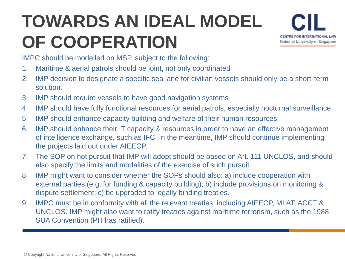# **TOWARDS AN IDEAL MODEL OF COOPERATION**



IMPC should be modelled on MSP, subject to the following:

- 1. Maritime & aerial patrols should be joint, not only coordinated
- 2. IMP decision to designate a specific sea lane for civilian vessels should only be a short-term solution.
- 3. IMP should require vessels to have good navigation systems
- 4. IMP should have fully functional resources for aerial patrols, especially nocturnal surveillance
- 5. IMP should enhance capacity building and welfare of their human resources
- 6. IMP should enhance their IT capacity & resources in order to have an effective management of intelligence exchange, such as IFC. In the meantime, IMP should continue implementing the projects laid out under AIEECP.
- 7. The SOP on hot pursuit that IMP will adopt should be based on Art. 111 UNCLOS, and should also specify the limits and modalities of the exercise of such pursuit.
- 8. IMP might want to consider whether the SOPs should also: a) include cooperation with external parties (e.g. for funding & capacity building); b) include provisions on monitoring & dispute settlement; c) be upgraded to legally binding treaties.
- 9. IMPC must be in conformity with all the relevant treaties, including AIEECP, MLAT, ACCT & UNCLOS. IMP might also want to ratify treaties against maritime terrorism, such as the 1988 SUA Convention (PH has ratified).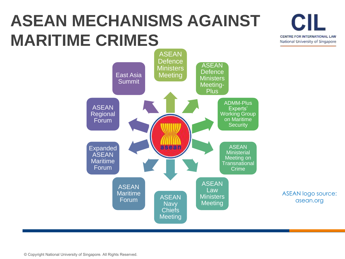### **ASEAN MECHANISMS AGAINST MARITIME CRIMES**

National University of Singapore ASEAN **Defence** ASEAN **Ministers Defence** East Asia **Meeting Ministers** Summit Meeting-Plus ADMM-Plus ASEAN Experts' Regional Working Group on Maritime Forum **Security** Expanded asean ASEAN **Ministerial ASEAN** Meeting on Maritime Transnational Forum Crime ASEAN ASEAN Law **Maritime** ASEAN logo source: ASEAN **Ministers** Forum asean.orgMeeting **Navy Chiefs Meeting** 

CII

CENTRE FOR INTERNATIONAL LAW

© Copyright National University of Singapore. All Rights Reserved.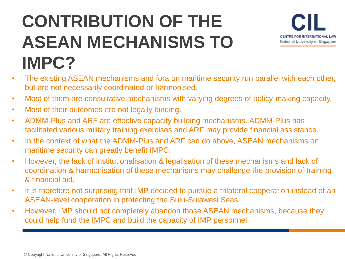# **CONTRIBUTION OF THE ASEAN MECHANISMS TO IMPC?**



- The existing ASEAN mechanisms and fora on maritime security run parallel with each other, but are not necessarily coordinated or harmonised.
- Most of them are consultative mechanisms with varying degrees of policy-making capacity.
- Most of their outcomes are not legally binding.
- ADMM-Plus and ARF are effective capacity building mechanisms. ADMM-Plus has facilitated various military training exercises and ARF may provide financial assistance.
- In the context of what the ADMM-Plus and ARF can do above, ASEAN mechanisms on maritime security can greatly benefit IMPC.
- However, the lack of institutionalisation & legalisation of these mechanisms and lack of coordination & harmonisation of these mechanisms may challenge the provision of training & financial aid.
- It is therefore not surprising that IMP decided to pursue a trilateral cooperation instead of an ASEAN-level cooperation in protecting the Sulu-Sulawesi Seas.
- However, IMP should not completely abandon those ASEAN mechanisms, because they could help fund the IMPC and build the capacity of IMP personnel.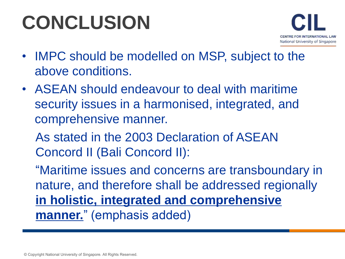# **CONCLUSION**



- IMPC should be modelled on MSP, subject to the above conditions.
- ASEAN should endeavour to deal with maritime security issues in a harmonised, integrated, and comprehensive manner.
	- As stated in the 2003 Declaration of ASEAN Concord II (Bali Concord II):

"Maritime issues and concerns are transboundary in nature, and therefore shall be addressed regionally **in holistic, integrated and comprehensive manner.**" (emphasis added)